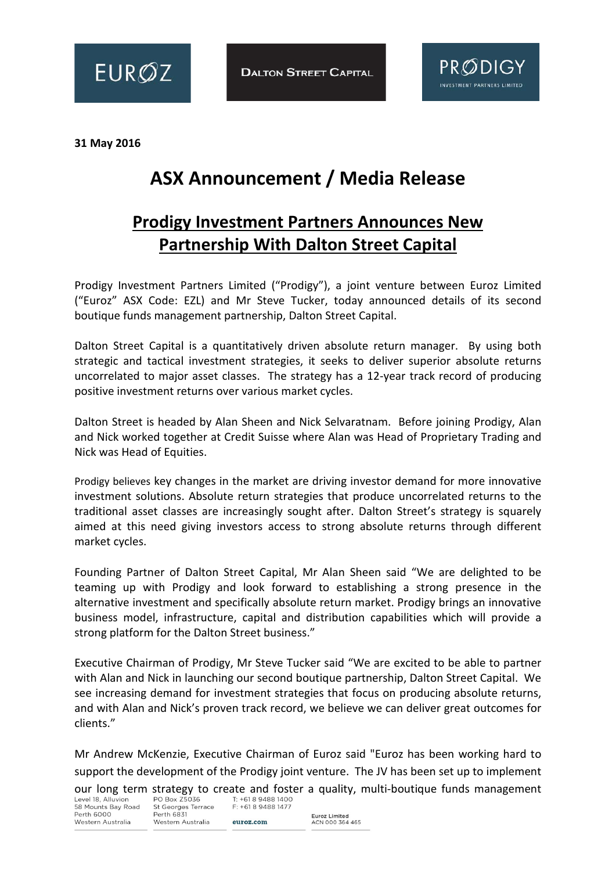



**31 May 2016**

## **ASX Announcement / Media Release**

## **Prodigy Investment Partners Announces New Partnership With Dalton Street Capital**

Prodigy Investment Partners Limited ("Prodigy"), a joint venture between Euroz Limited ("Euroz" ASX Code: EZL) and Mr Steve Tucker, today announced details of its second boutique funds management partnership, Dalton Street Capital.

Dalton Street Capital is a quantitatively driven absolute return manager. By using both strategic and tactical investment strategies, it seeks to deliver superior absolute returns uncorrelated to major asset classes. The strategy has a 12-year track record of producing positive investment returns over various market cycles.

Dalton Street is headed by Alan Sheen and Nick Selvaratnam. Before joining Prodigy, Alan and Nick worked together at Credit Suisse where Alan was Head of Proprietary Trading and Nick was Head of Equities.

Prodigy believes key changes in the market are driving investor demand for more innovative investment solutions. Absolute return strategies that produce uncorrelated returns to the traditional asset classes are increasingly sought after. Dalton Street's strategy is squarely aimed at this need giving investors access to strong absolute returns through different market cycles.

Founding Partner of Dalton Street Capital, Mr Alan Sheen said "We are delighted to be teaming up with Prodigy and look forward to establishing a strong presence in the alternative investment and specifically absolute return market. Prodigy brings an innovative business model, infrastructure, capital and distribution capabilities which will provide a strong platform for the Dalton Street business."

Executive Chairman of Prodigy, Mr Steve Tucker said "We are excited to be able to partner with Alan and Nick in launching our second boutique partnership, Dalton Street Capital. We see increasing demand for investment strategies that focus on producing absolute returns, and with Alan and Nick's proven track record, we believe we can deliver great outcomes for clients."

Mr Andrew McKenzie, Executive Chairman of Euroz said "Euroz has been working hard to support the development of the Prodigy joint venture. The JV has been set up to implement our long term strategy to create and foster a quality, multi-boutique funds management Level 18, Alluvion PO Box 25036  $\frac{1}{1!}$  +61.8 9488 1400

58 Mounts Bay Road Perth 6000 Western Australia

St Georges Terrace Perth 6831 Western Australia

F: +61 8 9488 1477 euroz.com

Euroz Limited<br>ACN 000 364 465